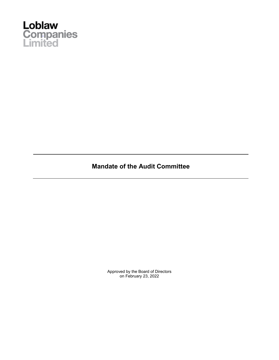

**Mandate of the Audit Committee**

Approved by the Board of Directors on February 23, 2022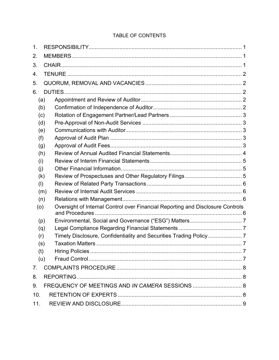# TABLE OF CONTENTS

| $\mathbf 1$    |     |                                                                                |  |
|----------------|-----|--------------------------------------------------------------------------------|--|
| 2.             |     |                                                                                |  |
| 3.             |     |                                                                                |  |
| 4.             |     |                                                                                |  |
| 5.             |     |                                                                                |  |
| 6.             |     |                                                                                |  |
| (a)            |     |                                                                                |  |
| (b)            |     |                                                                                |  |
| (c)            |     |                                                                                |  |
| (d)            |     |                                                                                |  |
| (e)            |     |                                                                                |  |
| (f)            |     |                                                                                |  |
| (g)            |     |                                                                                |  |
| (h)            |     |                                                                                |  |
| (i)            |     |                                                                                |  |
| (i)            |     |                                                                                |  |
| (k)            |     |                                                                                |  |
| (1)            |     |                                                                                |  |
|                | (m) |                                                                                |  |
| (n)            |     |                                                                                |  |
| (0)            |     | Oversight of Internal Control over Financial Reporting and Disclosure Controls |  |
| (p)            |     |                                                                                |  |
| (q)            |     |                                                                                |  |
| (r)            |     | Timely Disclosure, Confidentiality and Securities Trading Policy7              |  |
| (s)            |     |                                                                                |  |
| (t)            |     |                                                                                |  |
| (u)            |     |                                                                                |  |
| 7 <sub>1</sub> |     |                                                                                |  |
| 8.             |     |                                                                                |  |
| 9.             |     | FREQUENCY OF MEETINGS AND IN CAMERA SESSIONS  8                                |  |
| 10.            |     |                                                                                |  |
| 11.            |     |                                                                                |  |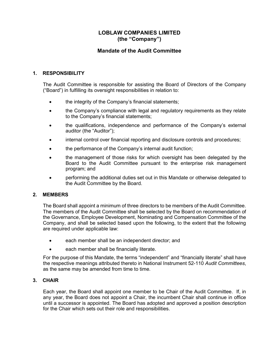# **LOBLAW COMPANIES LIMITED (the "Company")**

# **Mandate of the Audit Committee**

# **1. RESPONSIBILITY**

The Audit Committee is responsible for assisting the Board of Directors of the Company ("Board") in fulfilling its oversight responsibilities in relation to:

- the integrity of the Company's financial statements;
- the Company's compliance with legal and regulatory requirements as they relate to the Company's financial statements;
- the qualifications, independence and performance of the Company's external auditor (the "Auditor");
- internal control over financial reporting and disclosure controls and procedures;
- the performance of the Company's internal audit function;
- the management of those risks for which oversight has been delegated by the Board to the Audit Committee pursuant to the enterprise risk management program; and
- performing the additional duties set out in this Mandate or otherwise delegated to the Audit Committee by the Board.

### **2. MEMBERS**

The Board shall appoint a minimum of three directors to be members of the Audit Committee. The members of the Audit Committee shall be selected by the Board on recommendation of the Governance, Employee Development, Nominating and Compensation Committee of the Company, and shall be selected based upon the following, to the extent that the following are required under applicable law:

- each member shall be an independent director; and
- each member shall be financially literate.

For the purpose of this Mandate, the terms "independent" and "financially literate" shall have the respective meanings attributed thereto in National Instrument 52-110 *Audit Committees*, as the same may be amended from time to time.

## **3. CHAIR**

Each year, the Board shall appoint one member to be Chair of the Audit Committee. If, in any year, the Board does not appoint a Chair, the incumbent Chair shall continue in office until a successor is appointed. The Board has adopted and approved a position description for the Chair which sets out their role and responsibilities.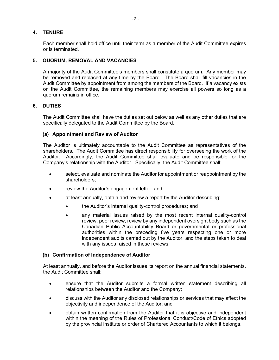### **4. TENURE**

Each member shall hold office until their term as a member of the Audit Committee expires or is terminated.

#### **5. QUORUM, REMOVAL AND VACANCIES**

A majority of the Audit Committee's members shall constitute a quorum. Any member may be removed and replaced at any time by the Board. The Board shall fill vacancies in the Audit Committee by appointment from among the members of the Board. If a vacancy exists on the Audit Committee, the remaining members may exercise all powers so long as a quorum remains in office.

#### **6. DUTIES**

The Audit Committee shall have the duties set out below as well as any other duties that are specifically delegated to the Audit Committee by the Board.

#### **(a) Appointment and Review of Auditor**

The Auditor is ultimately accountable to the Audit Committee as representatives of the shareholders. The Audit Committee has direct responsibility for overseeing the work of the Auditor. Accordingly, the Audit Committee shall evaluate and be responsible for the Company's relationship with the Auditor. Specifically, the Audit Committee shall:

- select, evaluate and nominate the Auditor for appointment or reappointment by the shareholders;
- review the Auditor's engagement letter; and
- at least annually, obtain and review a report by the Auditor describing:
	- the Auditor's internal quality-control procedures; and
	- any material issues raised by the most recent internal quality-control review, peer review, review by any independent oversight body such as the Canadian Public Accountability Board or governmental or professional authorities within the preceding five years respecting one or more independent audits carried out by the Auditor, and the steps taken to deal with any issues raised in these reviews.

#### **(b) Confirmation of Independence of Auditor**

At least annually, and before the Auditor issues its report on the annual financial statements, the Audit Committee shall:

- ensure that the Auditor submits a formal written statement describing all relationships between the Auditor and the Company;
- discuss with the Auditor any disclosed relationships or services that may affect the objectivity and independence of the Auditor; and
- obtain written confirmation from the Auditor that it is objective and independent within the meaning of the Rules of Professional Conduct/Code of Ethics adopted by the provincial institute or order of Chartered Accountants to which it belongs.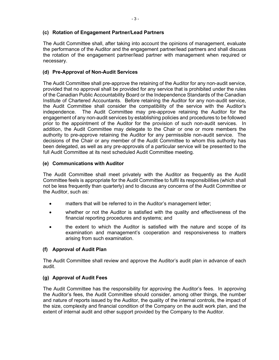## **(c) Rotation of Engagement Partner/Lead Partners**

The Audit Committee shall, after taking into account the opinions of management, evaluate the performance of the Auditor and the engagement partner/lead partners and shall discuss the rotation of the engagement partner/lead partner with management when required or necessary.

# **(d) Pre-Approval of Non-Audit Services**

The Audit Committee shall pre-approve the retaining of the Auditor for any non-audit service, provided that no approval shall be provided for any service that is prohibited under the rules of the Canadian Public Accountability Board or the Independence Standards of the Canadian Institute of Chartered Accountants. Before retaining the Auditor for any non-audit service, the Audit Committee shall consider the compatibility of the service with the Auditor's independence. The Audit Committee may pre-approve retaining the Auditor for the engagement of any non-audit services by establishing policies and procedures to be followed prior to the appointment of the Auditor for the provision of such non-audit services. In addition, the Audit Committee may delegate to the Chair or one or more members the authority to pre-approve retaining the Auditor for any permissible non-audit service. The decisions of the Chair or any member of the Audit Committee to whom this authority has been delegated, as well as any pre-approvals of a particular service will be presented to the full Audit Committee at its next scheduled Audit Committee meeting.

### **(e) Communications with Auditor**

The Audit Committee shall meet privately with the Auditor as frequently as the Audit Committee feels is appropriate for the Audit Committee to fulfil its responsibilities (which shall not be less frequently than quarterly) and to discuss any concerns of the Audit Committee or the Auditor, such as:

- matters that will be referred to in the Auditor's management letter;
- whether or not the Auditor is satisfied with the quality and effectiveness of the financial reporting procedures and systems; and
- the extent to which the Auditor is satisfied with the nature and scope of its examination and management's cooperation and responsiveness to matters arising from such examination.

### **(f) Approval of Audit Plan**

The Audit Committee shall review and approve the Auditor's audit plan in advance of each audit.

### **(g) Approval of Audit Fees**

The Audit Committee has the responsibility for approving the Auditor's fees. In approving the Auditor's fees, the Audit Committee should consider, among other things, the number and nature of reports issued by the Auditor, the quality of the internal controls, the impact of the size, complexity and financial condition of the Company on the audit work plan, and the extent of internal audit and other support provided by the Company to the Auditor.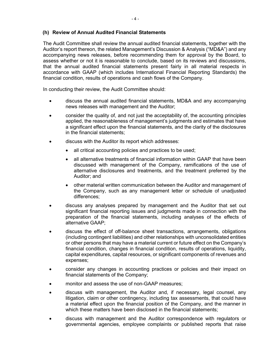#### **(h) Review of Annual Audited Financial Statements**

The Audit Committee shall review the annual audited financial statements, together with the Auditor's report thereon, the related Management's Discussion & Analysis ("MD&A") and any accompanying news releases, before recommending them for approval by the Board, to assess whether or not it is reasonable to conclude, based on its reviews and discussions, that the annual audited financial statements present fairly in all material respects in accordance with GAAP (which includes International Financial Reporting Standards) the financial condition, results of operations and cash flows of the Company.

In conducting their review, the Audit Committee should:

- discuss the annual audited financial statements, MD&A and any accompanying news releases with management and the Auditor;
- consider the quality of, and not just the acceptability of, the accounting principles applied, the reasonableness of management's judgments and estimates that have a significant effect upon the financial statements, and the clarity of the disclosures in the financial statements;
- discuss with the Auditor its report which addresses:
	- all critical accounting policies and practices to be used;
	- all alternative treatments of financial information within GAAP that have been discussed with management of the Company, ramifications of the use of alternative disclosures and treatments, and the treatment preferred by the Auditor; and
	- other material written communication between the Auditor and management of the Company, such as any management letter or schedule of unadjusted differences;
- discuss any analyses prepared by management and the Auditor that set out significant financial reporting issues and judgments made in connection with the preparation of the financial statements, including analyses of the effects of alternative GAAP;
- discuss the effect of off-balance sheet transactions, arrangements, obligations (including contingent liabilities) and other relationships with unconsolidated entities or other persons that may have a material current or future effect on the Company's financial condition, changes in financial condition, results of operations, liquidity, capital expenditures, capital resources, or significant components of revenues and expenses;
- consider any changes in accounting practices or policies and their impact on financial statements of the Company;
- monitor and assess the use of non-GAAP measures;
- discuss with management, the Auditor and, if necessary, legal counsel, any litigation, claim or other contingency, including tax assessments, that could have a material effect upon the financial position of the Company, and the manner in which these matters have been disclosed in the financial statements;
- discuss with management and the Auditor correspondence with regulators or governmental agencies, employee complaints or published reports that raise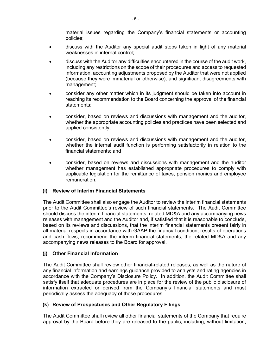material issues regarding the Company's financial statements or accounting policies;

- discuss with the Auditor any special audit steps taken in light of any material weaknesses in internal control;
- discuss with the Auditor any difficulties encountered in the course of the audit work, including any restrictions on the scope of their procedures and access to requested information, accounting adjustments proposed by the Auditor that were not applied (because they were immaterial or otherwise), and significant disagreements with management;
- consider any other matter which in its judgment should be taken into account in reaching its recommendation to the Board concerning the approval of the financial statements;
- consider, based on reviews and discussions with management and the auditor, whether the appropriate accounting policies and practices have been selected and applied consistently;
- consider, based on reviews and discussions with management and the auditor, whether the internal audit function is performing satisfactorily in relation to the financial statements; and
- consider, based on reviews and discussions with management and the auditor whether management has established appropriate procedures to comply with applicable legislation for the remittance of taxes, pension monies and employee remuneration.

### **(i) Review of Interim Financial Statements**

The Audit Committee shall also engage the Auditor to review the interim financial statements prior to the Audit Committee's review of such financial statements. The Audit Committee should discuss the interim financial statements, related MD&A and any accompanying news releases with management and the Auditor and, if satisfied that it is reasonable to conclude, based on its reviews and discussions, that the interim financial statements present fairly in all material respects in accordance with GAAP the financial condition, results of operations and cash flows, recommend the interim financial statements, the related MD&A and any accompanying news releases to the Board for approval.

#### **(j) Other Financial Information**

The Audit Committee shall review other financial-related releases, as well as the nature of any financial information and earnings guidance provided to analysts and rating agencies in accordance with the Company's Disclosure Policy. In addition, the Audit Committee shall satisfy itself that adequate procedures are in place for the review of the public disclosure of information extracted or derived from the Company's financial statements and must periodically assess the adequacy of those procedures.

### **(k) Review of Prospectuses and Other Regulatory Filings**

The Audit Committee shall review all other financial statements of the Company that require approval by the Board before they are released to the public, including, without limitation,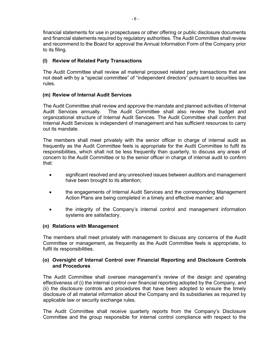financial statements for use in prospectuses or other offering or public disclosure documents and financial statements required by regulatory authorities. The Audit Committee shall review and recommend to the Board for approval the Annual Information Form of the Company prior to its filing.

# **(l) Review of Related Party Transactions**

The Audit Committee shall review all material proposed related party transactions that are not dealt with by a "special committee" of "independent directors" pursuant to securities law rules.

# **(m) Review of Internal Audit Services**

The Audit Committee shall review and approve the mandate and planned activities of Internal Audit Services annually. The Audit Committee shall also review the budget and organizational structure of Internal Audit Services. The Audit Committee shall confirm that Internal Audit Services is independent of management and has sufficient resources to carry out its mandate.

The members shall meet privately with the senior officer in charge of internal audit as frequently as the Audit Committee feels is appropriate for the Audit Committee to fulfil its responsibilities, which shall not be less frequently than quarterly, to discuss any areas of concern to the Audit Committee or to the senior officer in charge of internal audit to confirm that:

- significant resolved and any unresolved issues between auditors and management have been brought to its attention;
- the engagements of Internal Audit Services and the corresponding Management Action Plans are being completed in a timely and effective manner; and
- the integrity of the Company's internal control and management information systems are satisfactory.

### **(n) Relations with Management**

The members shall meet privately with management to discuss any concerns of the Audit Committee or management, as frequently as the Audit Committee feels is appropriate, to fulfil its responsibilities.

### **(o) Oversight of Internal Control over Financial Reporting and Disclosure Controls and Procedures**

The Audit Committee shall oversee management's review of the design and operating effectiveness of (i) the internal control over financial reporting adopted by the Company, and (ii) the disclosure controls and procedures that have been adopted to ensure the timely disclosure of all material information about the Company and its subsidiaries as required by applicable law or security exchange rules.

The Audit Committee shall receive quarterly reports from the Company's Disclosure Committee and the group responsible for internal control compliance with respect to the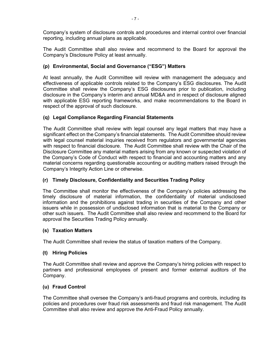Company's system of disclosure controls and procedures and internal control over financial reporting, including annual plans as applicable.

The Audit Committee shall also review and recommend to the Board for approval the Company's Disclosure Policy at least annually.

# **(p) Environmental, Social and Governance ("ESG") Matters**

At least annually, the Audit Committee will review with management the adequacy and effectiveness of applicable controls related to the Company's ESG disclosures. The Audit Committee shall review the Company's ESG disclosures prior to publication, including disclosure in the Company's interim and annual MD&A and in respect of disclosure aligned with applicable ESG reporting frameworks, and make recommendations to the Board in respect of the approval of such disclosure.

# **(q) Legal Compliance Regarding Financial Statements**

The Audit Committee shall review with legal counsel any legal matters that may have a significant effect on the Company's financial statements. The Audit Committee should review with legal counsel material inquiries received from regulators and governmental agencies with respect to financial disclosure. The Audit Committee shall review with the Chair of the Disclosure Committee any material matters arising from any known or suspected violation of the Company's Code of Conduct with respect to financial and accounting matters and any material concerns regarding questionable accounting or auditing matters raised through the Company's Integrity Action Line or otherwise.

# **(r) Timely Disclosure, Confidentiality and Securities Trading Policy**

The Committee shall monitor the effectiveness of the Company's policies addressing the timely disclosure of material information, the confidentiality of material undisclosed information and the prohibitions against trading in securities of the Company and other issuers while in possession of undisclosed information that is material to the Company or other such issuers. The Audit Committee shall also review and recommend to the Board for approval the Securities Trading Policy annually.

### **(s) Taxation Matters**

The Audit Committee shall review the status of taxation matters of the Company.

### **(t) Hiring Policies**

The Audit Committee shall review and approve the Company's hiring policies with respect to partners and professional employees of present and former external auditors of the Company.

### **(u) Fraud Control**

The Committee shall oversee the Company's anti-fraud programs and controls, including its policies and procedures over fraud risk assessments and fraud risk management. The Audit Committee shall also review and approve the Anti-Fraud Policy annually.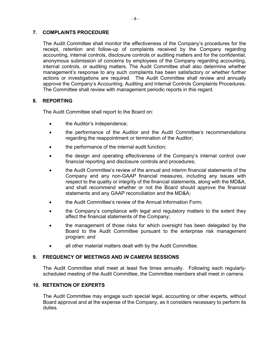#### **7. COMPLAINTS PROCEDURE**

The Audit Committee shall monitor the effectiveness of the Company's procedures for the receipt, retention and follow-up of complaints received by the Company regarding accounting, internal controls, disclosure controls or auditing matters and for the confidential, anonymous submission of concerns by employees of the Company regarding accounting, internal controls, or auditing matters. The Audit Committee shall also determine whether management's response to any such complaints has been satisfactory or whether further actions or investigations are required. The Audit Committee shall review and annually approve the Company's Accounting, Auditing and Internal Controls Complaints Procedures. The Committee shall review with management periodic reports in this regard.

#### **8. REPORTING**

The Audit Committee shall report to the Board on:

- the Auditor's independence;
- the performance of the Auditor and the Audit Committee's recommendations regarding the reappointment or termination of the Auditor;
- the performance of the internal audit function;
- the design and operating effectiveness of the Company's internal control over financial reporting and disclosure controls and procedures;
- the Audit Committee's review of the annual and interim financial statements of the Company and any non-GAAP financial measures, including any issues with respect to the quality or integrity of the financial statements, along with the MD&A, and shall recommend whether or not the Board should approve the financial statements and any GAAP reconciliation and the MD&A;
- the Audit Committee's review of the Annual Information Form;
- the Company's compliance with legal and regulatory matters to the extent they affect the financial statements of the Company;
- the management of those risks for which oversight has been delegated by the Board to the Audit Committee pursuant to the enterprise risk management program; and
- all other material matters dealt with by the Audit Committee.

### **9. FREQUENCY OF MEETINGS AND** *IN CAMERA* **SESSIONS**

The Audit Committee shall meet at least five times annually. Following each regularlyscheduled meeting of the Audit Committee, the Committee members shall meet *in camera*.

## **10. RETENTION OF EXPERTS**

The Audit Committee may engage such special legal, accounting or other experts, without Board approval and at the expense of the Company, as it considers necessary to perform its duties.